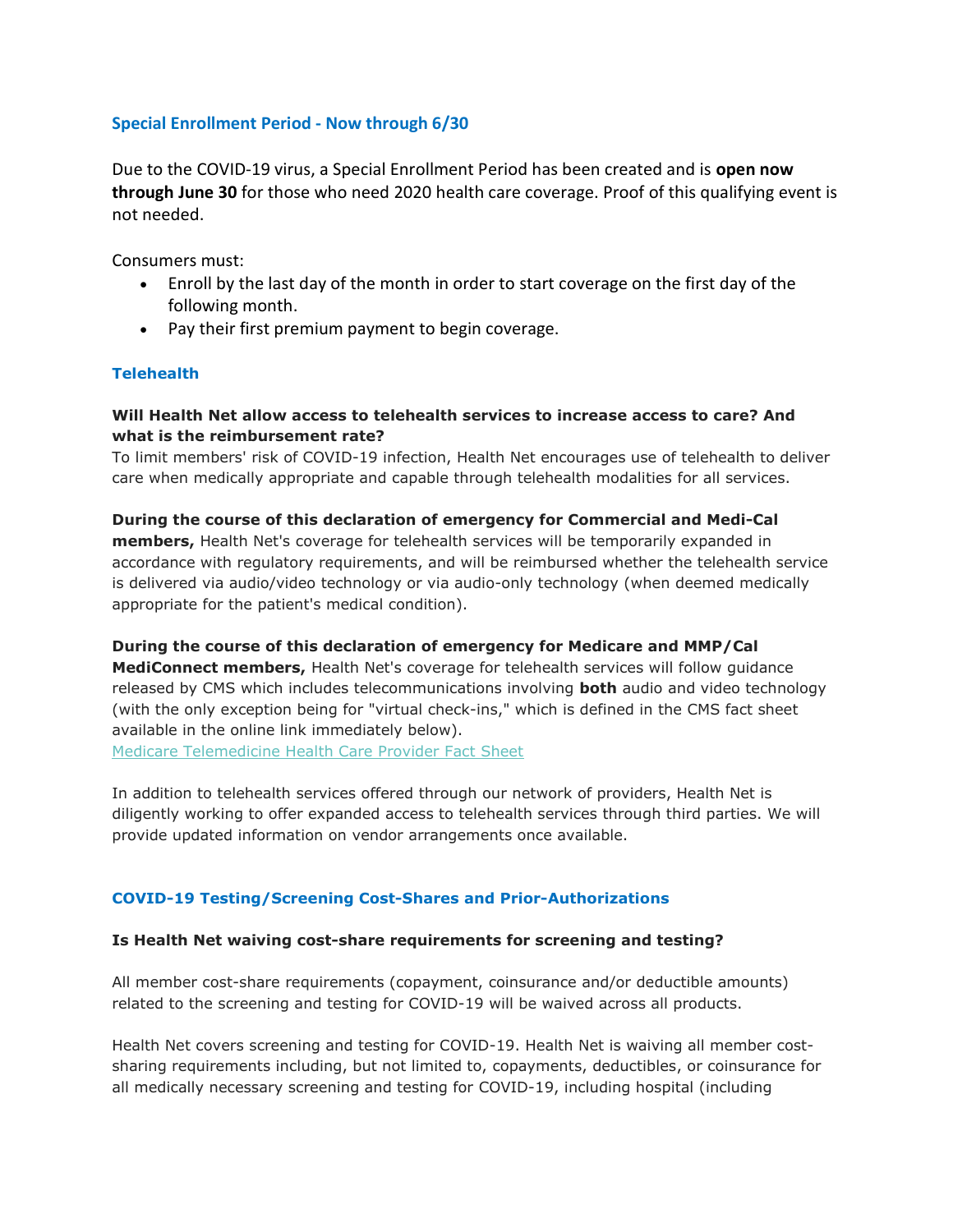## Special Enrollment Period - Now through 6/30

Due to the COVID-19 virus, a Special Enrollment Period has been created and is open now through June 30 for those who need 2020 health care coverage. Proof of this qualifying event is not needed.

Consumers must:

- Enroll by the last day of the month in order to start coverage on the first day of the following month.
- Pay their first premium payment to begin coverage.

# **Telehealth**

## Will Health Net allow access to telehealth services to increase access to care? And what is the reimbursement rate?

To limit members' risk of COVID-19 infection, Health Net encourages use of telehealth to deliver care when medically appropriate and capable through telehealth modalities for all services.

## During the course of this declaration of emergency for Commercial and Medi-Cal **members,** Health Net's coverage for telehealth services will be temporarily expanded in accordance with regulatory requirements, and will be reimbursed whether the telehealth service is delivered via audio/video technology or via audio-only technology (when deemed medically appropriate for the patient's medical condition).

During the course of this declaration of emergency for Medicare and MMP/Cal MediConnect members, Health Net's coverage for telehealth services will follow guidance released by CMS which includes telecommunications involving **both** audio and video technology (with the only exception being for "virtual check-ins," which is defined in the CMS fact sheet available in the online link immediately below).

Medicare Telemedicine Health Care Provider Fact Sheet

In addition to telehealth services offered through our network of providers, Health Net is diligently working to offer expanded access to telehealth services through third parties. We will provide updated information on vendor arrangements once available.

# COVID-19 Testing/Screening Cost-Shares and Prior-Authorizations

### Is Health Net waiving cost-share requirements for screening and testing?

All member cost-share requirements (copayment, coinsurance and/or deductible amounts) related to the screening and testing for COVID-19 will be waived across all products.

Health Net covers screening and testing for COVID-19. Health Net is waiving all member costsharing requirements including, but not limited to, copayments, deductibles, or coinsurance for all medically necessary screening and testing for COVID-19, including hospital (including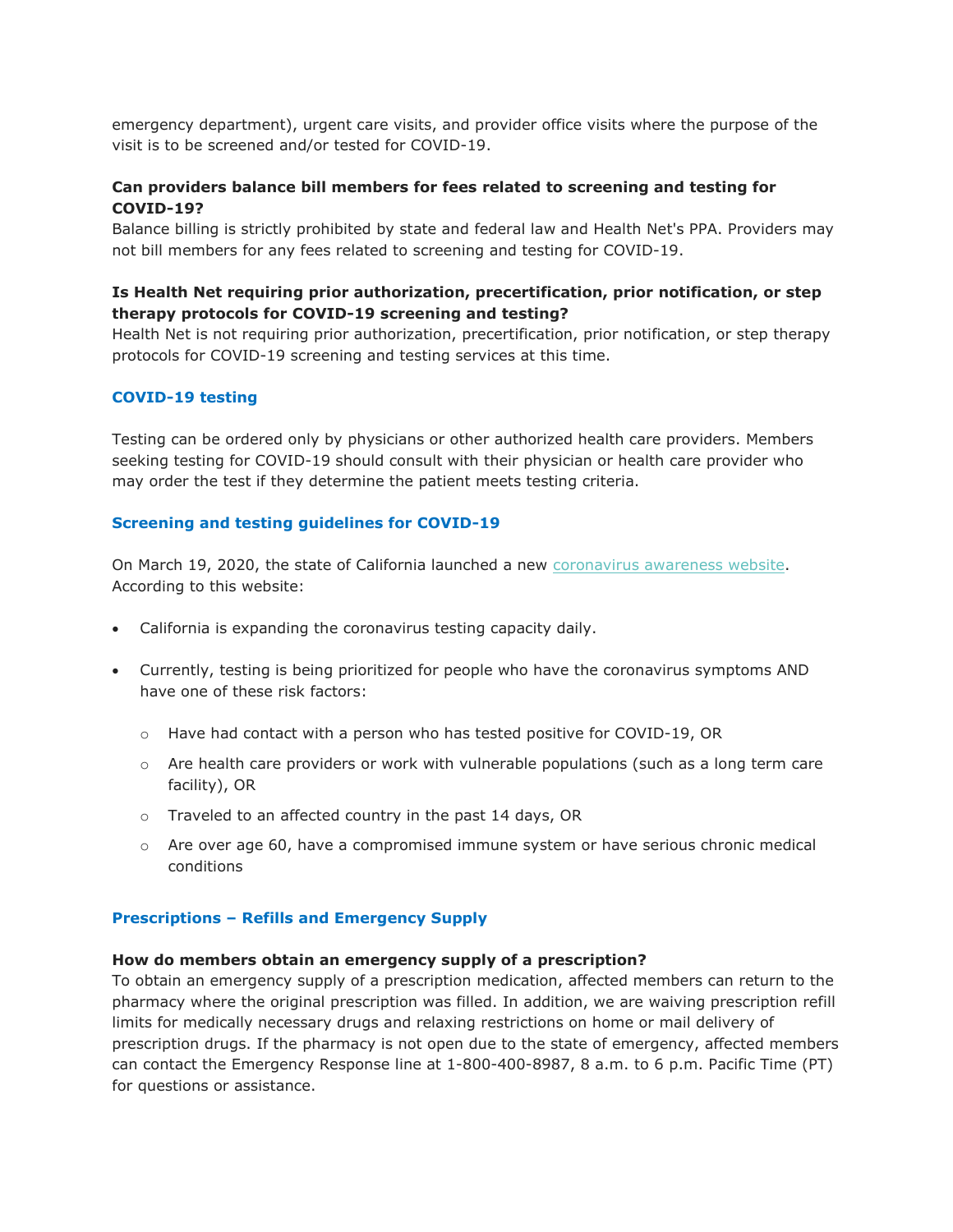emergency department), urgent care visits, and provider office visits where the purpose of the visit is to be screened and/or tested for COVID-19.

### Can providers balance bill members for fees related to screening and testing for COVID-19?

Balance billing is strictly prohibited by state and federal law and Health Net's PPA. Providers may not bill members for any fees related to screening and testing for COVID-19.

### Is Health Net requiring prior authorization, precertification, prior notification, or step therapy protocols for COVID-19 screening and testing?

Health Net is not requiring prior authorization, precertification, prior notification, or step therapy protocols for COVID-19 screening and testing services at this time.

### COVID-19 testing

Testing can be ordered only by physicians or other authorized health care providers. Members seeking testing for COVID-19 should consult with their physician or health care provider who may order the test if they determine the patient meets testing criteria.

#### Screening and testing guidelines for COVID-19

On March 19, 2020, the state of California launched a new coronavirus awareness website. According to this website:

- California is expanding the coronavirus testing capacity daily.
- Currently, testing is being prioritized for people who have the coronavirus symptoms AND have one of these risk factors:
	- o Have had contact with a person who has tested positive for COVID-19, OR
	- $\circ$  Are health care providers or work with vulnerable populations (such as a long term care facility), OR
	- o Traveled to an affected country in the past 14 days, OR
	- $\circ$  Are over age 60, have a compromised immune system or have serious chronic medical conditions

#### Prescriptions – Refills and Emergency Supply

#### How do members obtain an emergency supply of a prescription?

To obtain an emergency supply of a prescription medication, affected members can return to the pharmacy where the original prescription was filled. In addition, we are waiving prescription refill limits for medically necessary drugs and relaxing restrictions on home or mail delivery of prescription drugs. If the pharmacy is not open due to the state of emergency, affected members can contact the Emergency Response line at 1-800-400-8987, 8 a.m. to 6 p.m. Pacific Time (PT) for questions or assistance.